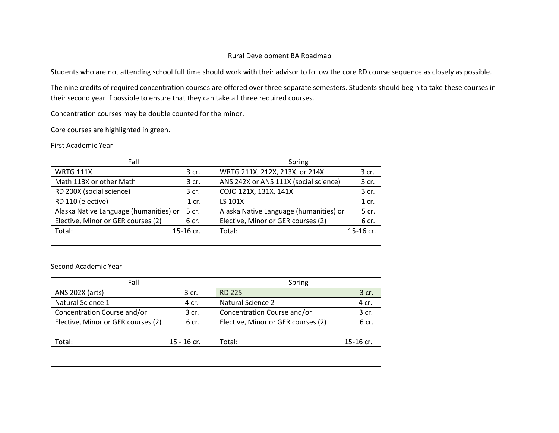## Rural Development BA Roadmap

Students who are not attending school full time should work with their advisor to follow the core RD course sequence as closely as possible.

The nine credits of required concentration courses are offered over three separate semesters. Students should begin to take these courses in their second year if possible to ensure that they can take all three required courses.

Concentration courses may be double counted for the minor.

Core courses are highlighted in green.

First Academic Year

| Fall                                   |           | Spring                                 |           |
|----------------------------------------|-----------|----------------------------------------|-----------|
| <b>WRTG 111X</b>                       | 3 cr.     | WRTG 211X, 212X, 213X, or 214X         | 3 cr.     |
| Math 113X or other Math                | 3 cr.     | ANS 242X or ANS 111X (social science)  | 3 cr.     |
| RD 200X (social science)               | 3 cr.     | COJO 121X, 131X, 141X                  | 3 cr.     |
| RD 110 (elective)                      | $1$ cr.   | LS 101X                                | $1$ cr.   |
| Alaska Native Language (humanities) or | 5 cr.     | Alaska Native Language (humanities) or | 5 cr.     |
| Elective, Minor or GER courses (2)     | 6 cr.     | Elective, Minor or GER courses (2)     | 6 cr.     |
| Total:                                 | 15-16 cr. | Total:                                 | 15-16 cr. |
|                                        |           |                                        |           |

Second Academic Year

| Fall                               |               | Spring                             |           |
|------------------------------------|---------------|------------------------------------|-----------|
| ANS 202X (arts)                    | 3 cr.         | <b>RD 225</b>                      | 3 cr.     |
| Natural Science 1                  | 4 cr.         | <b>Natural Science 2</b>           | 4 cr.     |
| Concentration Course and/or        | 3 cr.         | Concentration Course and/or        | 3 cr.     |
| Elective, Minor or GER courses (2) | 6 cr.         | Elective, Minor or GER courses (2) | 6 cr.     |
|                                    |               |                                    |           |
| Total:                             | $15 - 16$ cr. | Total:                             | 15-16 cr. |
|                                    |               |                                    |           |
|                                    |               |                                    |           |